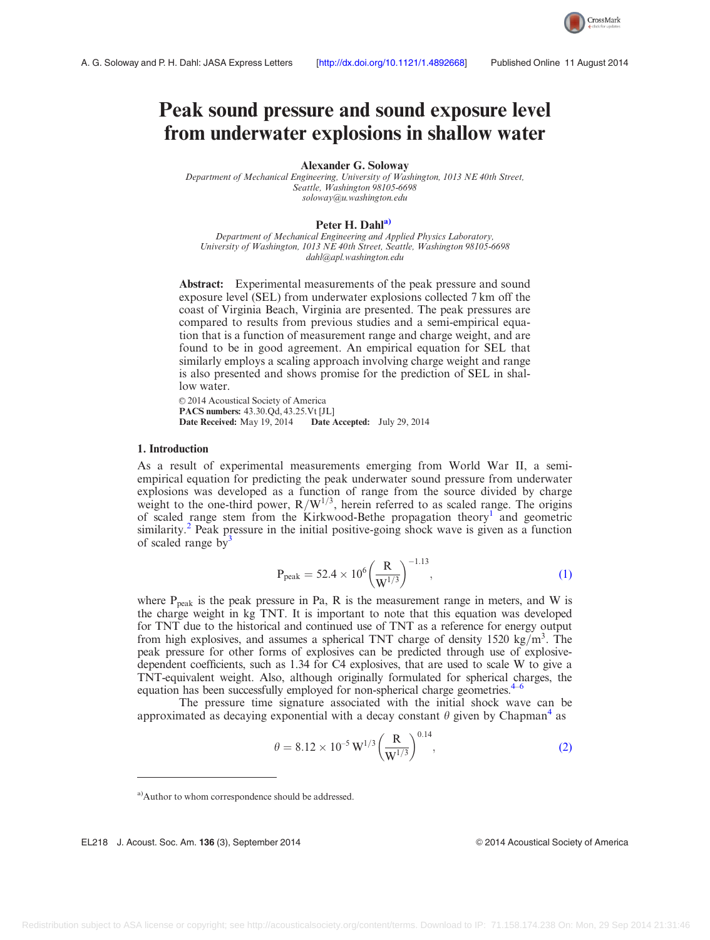# <span id="page-0-0"></span>Peak sound pressure and sound exposure level from underwater explosions in shallow water

Alexander G. Soloway

Department of Mechanical Engineering, University of Washington, 1013 NE 40th Street, Seattle, Washington 98105-6698 [soloway@u.washington.edu](mailto:soloway@u.washington.edu)

## Peter H. Dahl<sup>a)</sup>

Department of Mechanical Engineering and Applied Physics Laboratory, University of Washington, 1013 NE 40th Street, Seattle, Washington 98105-6698 [dahl@apl.washington.edu](mailto:dahl@apl.washington.edu)

Abstract: Experimental measurements of the peak pressure and sound exposure level (SEL) from underwater explosions collected 7 km off the coast of Virginia Beach, Virginia are presented. The peak pressures are compared to results from previous studies and a semi-empirical equation that is a function of measurement range and charge weight, and are found to be in good agreement. An empirical equation for SEL that similarly employs a scaling approach involving charge weight and range is also presented and shows promise for the prediction of SEL in shallow water.

© 2014 Acoustical Society of America PACS numbers: 43.30.Qd, 43.25.Vt [JL] Date Received: May 19, 2014 Date Accepted: July 29, 2014

## 1. Introduction

As a result of experimental measurements emerging from World War II, a semiempirical equation for predicting the peak underwater sound pressure from underwater explosions was developed as a function of range from the source divided by charge weight to the one-third power,  $R/W^{1/3}$ , herein referred to as scaled range. The origins of scaled range stem from the Kirkwood-Bethe propagation theory<sup>[1](#page-5-0)</sup> and geometric similarity.<sup>[2](#page-5-0)</sup> Peak pressure in the initial positive-going shock wave is given as a function of scaled range by<sup>[3](#page-5-0)</sup>

$$
P_{\text{peak}} = 52.4 \times 10^6 \left(\frac{R}{W^{1/3}}\right)^{-1.13},\tag{1}
$$

where  $P_{peak}$  is the peak pressure in Pa, R is the measurement range in meters, and W is the charge weight in kg TNT. It is important to note that this equation was developed for TNT due to the historical and continued use of TNT as a reference for energy output from high explosives, and assumes a spherical TNT charge of density  $1520 \text{ kg/m}^3$ . The peak pressure for other forms of explosives can be predicted through use of explosivedependent coefficients, such as 1.34 for C4 explosives, that are used to scale W to give a TNT-equivalent weight. Also, although originally formulated for spherical charges, the equation has been successfully employed for non-spherical charge geometries.<sup>4</sup>

The pressure time signature associated with the initial shock wave can be approximated as decaying exponential with a decay constant  $\theta$  given by Chapman<sup>[4](#page-5-0)</sup> as

$$
\theta = 8.12 \times 10^{-5} \,\mathrm{W}^{1/3} \left(\frac{\mathrm{R}}{\mathrm{W}^{1/3}}\right)^{0.14},\tag{2}
$$

EL218 J. Acoust. Soc. Am. 136 (3), September 2014 VC 2014 VE 2014 Acoustical Society of America



a)Author to whom correspondence should be addressed.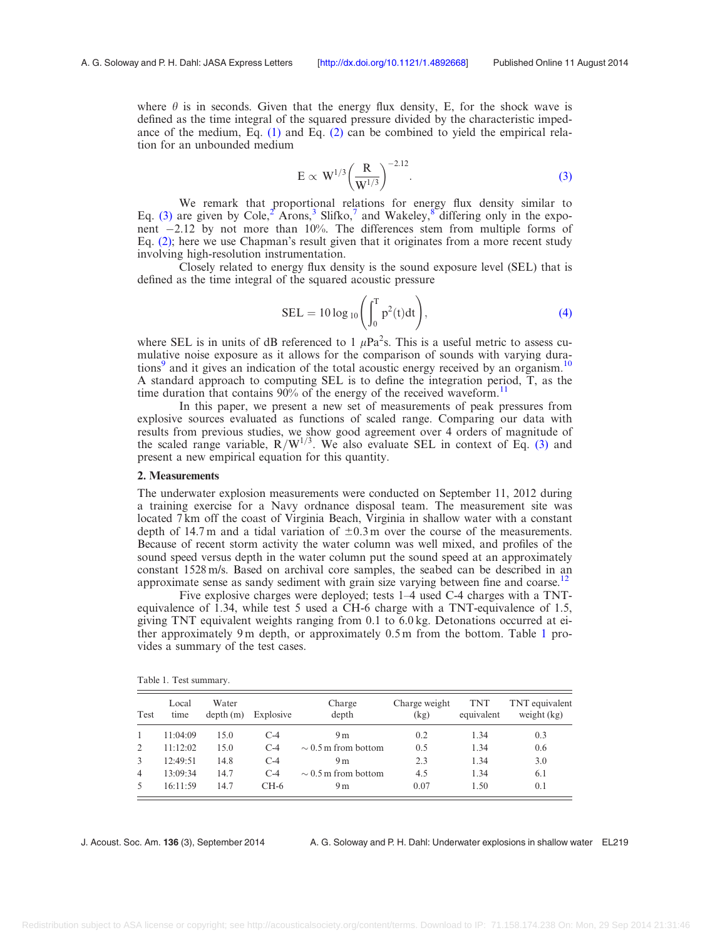<span id="page-1-0"></span>where  $\theta$  is in seconds. Given that the energy flux density, E, for the shock wave is defined as the time integral of the squared pressure divided by the characteristic impedance of the medium, Eq.  $(1)$  and Eq.  $(2)$  can be combined to yield the empirical relation for an unbounded medium

$$
E \propto W^{1/3} \left(\frac{R}{W^{1/3}}\right)^{-2.12}.
$$
 (3)

We remark that proportional relations for energy flux density similar to Eq. (3) are given by Cole,<sup>[2](#page-5-0)</sup> Arons,<sup>[3](#page-5-0)</sup> Slifko,<sup>[7](#page-5-0)</sup> and Wakeley,<sup>[8](#page-5-0)</sup> differing only in the exponent  $-2.12$  by not more than  $10\%$ . The differences stem from multiple forms of Eq. [\(2\)](#page-0-0); here we use Chapman's result given that it originates from a more recent study involving high-resolution instrumentation.

Closely related to energy flux density is the sound exposure level (SEL) that is defined as the time integral of the squared acoustic pressure

$$
SEL = 10 \log_{10} \left( \int_0^T p^2(t) dt \right), \tag{4}
$$

where SEL is in units of dB referenced to 1  $\mu$ Pa<sup>2</sup>s. This is a useful metric to assess cumulative noise exposure as it allows for the comparison of sounds with varying dura-tions<sup>[9](#page-5-0)</sup> and it gives an indication of the total acoustic energy received by an organism.<sup>[10](#page-5-0)</sup> A standard approach to computing SEL is to define the integration period, T, as the time duration that contains  $90\%$  of the energy of the received waveform.<sup>[11](#page-5-0)</sup>

In this paper, we present a new set of measurements of peak pressures from explosive sources evaluated as functions of scaled range. Comparing our data with results from previous studies, we show good agreement over 4 orders of magnitude of the scaled range variable,  $R/W^{1/3}$ . We also evaluate SEL in context of Eq. (3) and present a new empirical equation for this quantity.

### 2. Measurements

The underwater explosion measurements were conducted on September 11, 2012 during a training exercise for a Navy ordnance disposal team. The measurement site was located 7km off the coast of Virginia Beach, Virginia in shallow water with a constant depth of 14.7 m and a tidal variation of  $\pm 0.3$  m over the course of the measurements. Because of recent storm activity the water column was well mixed, and profiles of the sound speed versus depth in the water column put the sound speed at an approximately constant 1528 m/s. Based on archival core samples, the seabed can be described in an approximate sense as sandy sediment with grain size varying between fine and coarse.<sup>12</sup>

Five explosive charges were deployed; tests 1–4 used C-4 charges with a TNTequivalence of 1.34, while test 5 used a CH-6 charge with a TNT-equivalence of 1.5, giving TNT equivalent weights ranging from 0.1 to 6.0 kg. Detonations occurred at either approximately 9 m depth, or approximately 0.5 m from the bottom. Table 1 provides a summary of the test cases.

| Test           | Local<br>time | Water<br>depth(m) | Explosive | Charge<br>depth          | Charge weight<br>(kg) | <b>TNT</b><br>equivalent | TNT equivalent<br>weight $(kg)$ |
|----------------|---------------|-------------------|-----------|--------------------------|-----------------------|--------------------------|---------------------------------|
|                | 11:04:09      | 15.0              | $C-4$     | 9 <sub>m</sub>           | 0.2                   | 1.34                     | 0.3                             |
| 2              | 11:12:02      | 15.0              | $C-4$     | $\sim$ 0.5 m from bottom | 0.5                   | 1.34                     | 0.6                             |
| 3              | 12:49:51      | 14.8              | $C-4$     | 9 <sub>m</sub>           | 2.3                   | 1.34                     | 3.0                             |
| $\overline{4}$ | 13:09:34      | 14.7              | $C-4$     | $\sim$ 0.5 m from bottom | 4.5                   | 1.34                     | 6.1                             |
| 5              | 16:11:59      | 14.7              | CH-6      | 9 <sub>m</sub>           | 0.07                  | 1.50                     | 0.1                             |

Table 1. Test summary.

J. Acoust. Soc. Am. 136 (3), September 2014 A. G. Soloway and P. H. Dahl: Underwater explosions in shallow water EL219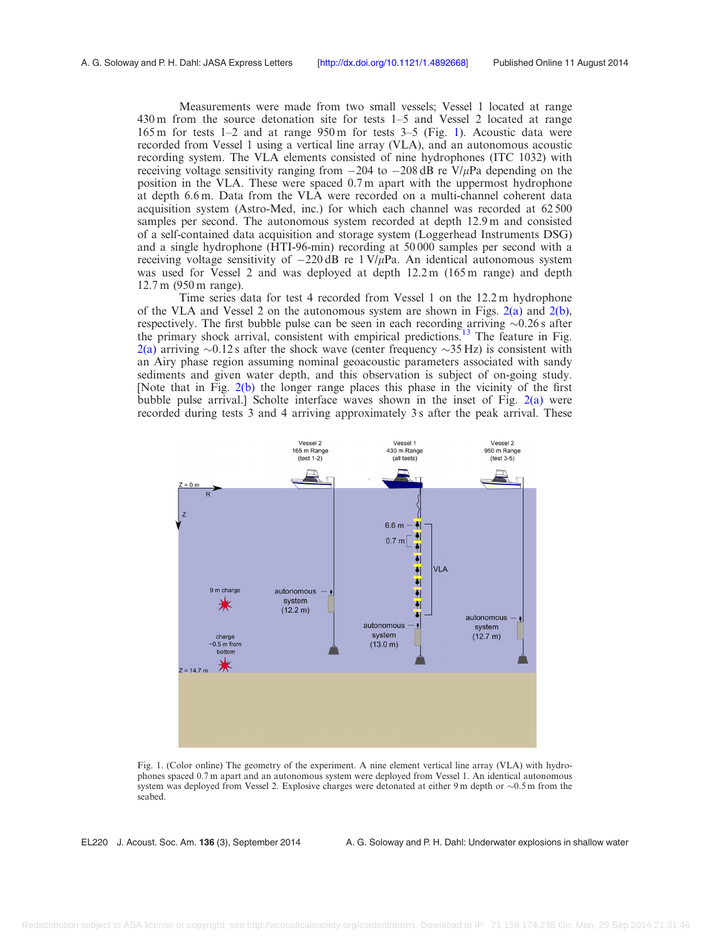Measurements were made from two small vessels; Vessel 1 located at range 430 m from the source detonation site for tests 1–5 and Vessel 2 located at range 165 m for tests 1–2 and at range 950 m for tests 3–5 (Fig. 1). Acoustic data were recorded from Vessel 1 using a vertical line array (VLA), and an autonomous acoustic recording system. The VLA elements consisted of nine hydrophones (ITC 1032) with receiving voltage sensitivity ranging from  $-204$  to  $-208$  dB re  $V/\mu$ Pa depending on the position in the VLA. These were spaced 0.7 m apart with the uppermost hydrophone at depth 6.6 m. Data from the VLA were recorded on a multi-channel coherent data acquisition system (Astro-Med, inc.) for which each channel was recorded at 62 500 samples per second. The autonomous system recorded at depth 12.9 m and consisted of a self-contained data acquisition and storage system (Loggerhead Instruments DSG) and a single hydrophone (HTI-96-min) recording at 50 000 samples per second with a receiving voltage sensitivity of  $-220 \text{ dB}$  re 1 V/ $\mu$ Pa. An identical autonomous system was used for Vessel 2 and was deployed at depth 12.2 m (165 m range) and depth 12.7 m (950 m range).

Time series data for test 4 recorded from Vessel 1 on the 12.2 m hydrophone of the VLA and Vessel 2 on the autonomous system are shown in Figs.  $2(a)$  and  $2(b)$ , respectively. The first bubble pulse can be seen in each recording arriving  $\sim 0.26$  s after the primary shock arrival, consistent with empirical predictions.<sup>[13](#page-5-0)</sup> The feature in Fig. [2\(a\)](#page-3-0) arriving  $\sim$ 0.12 s after the shock wave (center frequency  $\sim$ 35 Hz) is consistent with an Airy phase region assuming nominal geoacoustic parameters associated with sandy sediments and given water depth, and this observation is subject of on-going study. [Note that in Fig. [2\(b\)](#page-3-0) the longer range places this phase in the vicinity of the first bubble pulse arrival.] Scholte interface waves shown in the inset of Fig. [2\(a\)](#page-3-0) were recorded during tests 3 and 4 arriving approximately 3 s after the peak arrival. These



Fig. 1. (Color online) The geometry of the experiment. A nine element vertical line array (VLA) with hydrophones spaced 0.7 m apart and an autonomous system were deployed from Vessel 1. An identical autonomous system was deployed from Vessel 2. Explosive charges were detonated at either 9 m depth or  $\sim 0.5$  m from the seabed.

EL220 J. Acoust. Soc. Am. 136 (3), September 2014 A. G. Soloway and P. H. Dahl: Underwater explosions in shallow water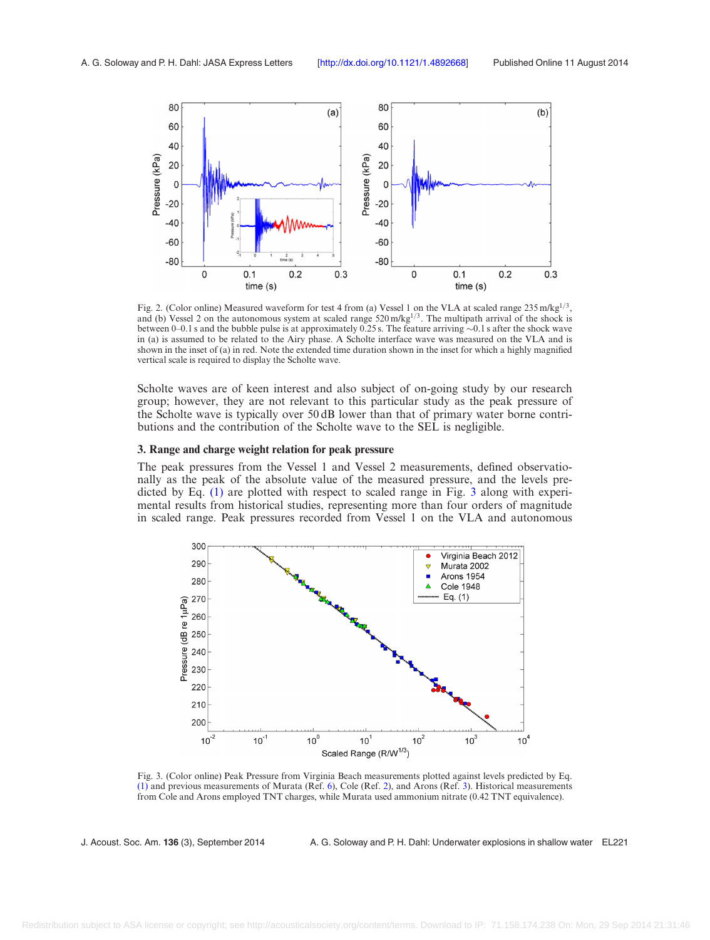<span id="page-3-0"></span>

Fig. 2. (Color online) Measured waveform for test 4 from (a) Vessel 1 on the VLA at scaled range 235 m/kg<sup>1/3</sup>, and (b) Vessel 2 on the autonomous system at scaled range  $520 \text{ m/kg}^{1/3}$ . The multipath arrival of the shock is between 0–0.1 s and the bubble pulse is at approximately 0.25 s. The feature arriving  $\sim$ 0.1 s after the shock wave in (a) is assumed to be related to the Airy phase. A Scholte interface wave was measured on the VLA and is shown in the inset of (a) in red. Note the extended time duration shown in the inset for which a highly magnified vertical scale is required to display the Scholte wave.

Scholte waves are of keen interest and also subject of on-going study by our research group; however, they are not relevant to this particular study as the peak pressure of the Scholte wave is typically over 50 dB lower than that of primary water borne contributions and the contribution of the Scholte wave to the SEL is negligible.

#### 3. Range and charge weight relation for peak pressure

The peak pressures from the Vessel 1 and Vessel 2 measurements, defined observationally as the peak of the absolute value of the measured pressure, and the levels predicted by Eq. [\(1\)](#page-0-0) are plotted with respect to scaled range in Fig. 3 along with experimental results from historical studies, representing more than four orders of magnitude in scaled range. Peak pressures recorded from Vessel 1 on the VLA and autonomous



Fig. 3. (Color online) Peak Pressure from Virginia Beach measurements plotted against levels predicted by Eq. [\(1\)](#page-0-0) and previous measurements of Murata (Ref. [6](#page-5-0)), Cole (Ref. [2\)](#page-5-0), and Arons (Ref. [3\)](#page-5-0). Historical measurements from Cole and Arons employed TNT charges, while Murata used ammonium nitrate (0.42 TNT equivalence).

J. Acoust. Soc. Am. 136 (3), September 2014 A. G. Soloway and P. H. Dahl: Underwater explosions in shallow water EL221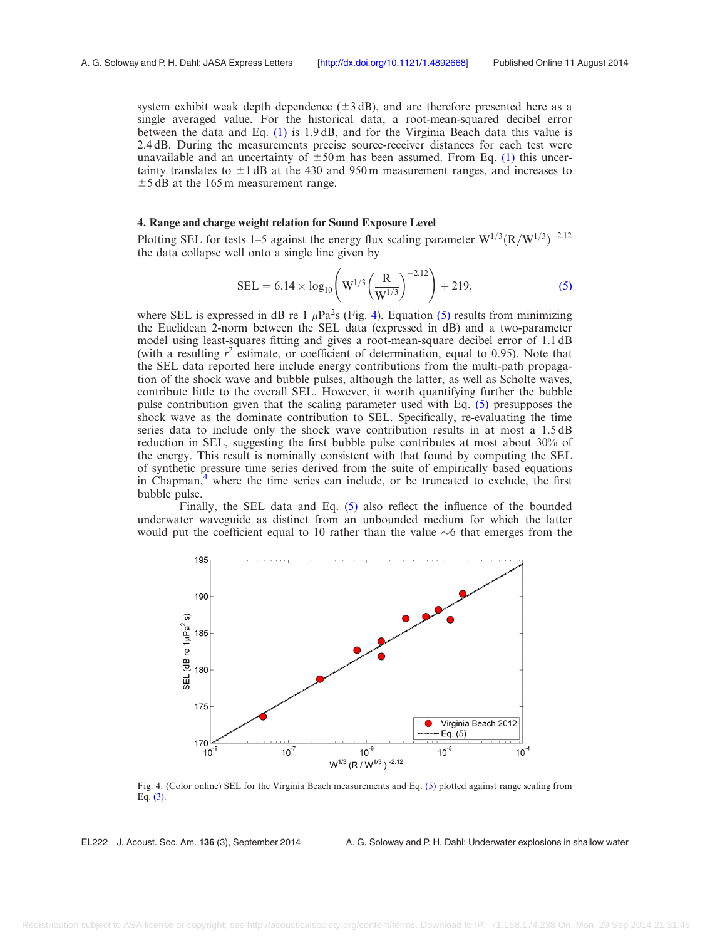<span id="page-4-0"></span>system exhibit weak depth dependence  $(\pm 3 \text{ dB})$ , and are therefore presented here as a single averaged value. For the historical data, a root-mean-squared decibel error between the data and Eq. [\(1\)](#page-0-0) is 1.9 dB, and for the Virginia Beach data this value is 2.4 dB. During the measurements precise source-receiver distances for each test were unavailable and an uncertainty of  $\pm 50$  m has been assumed. From Eq. [\(1\)](#page-0-0) this uncertainty translates to  $\pm 1$  dB at the 430 and 950 m measurement ranges, and increases to  $\pm$ 5 dB at the 165 m measurement range.

## 4. Range and charge weight relation for Sound Exposure Level

Plotting SEL for tests 1–5 against the energy flux scaling parameter  $W^{1/3}(R/W^{1/3})^{-2.12}$ the data collapse well onto a single line given by

$$
SEL = 6.14 \times \log_{10} \left( W^{1/3} \left( \frac{R}{W^{1/3}} \right)^{-2.12} \right) + 219,
$$
 (5)

where SEL is expressed in dB re 1  $\mu$ Pa<sup>2</sup>s (Fig. 4). Equation (5) results from minimizing the Euclidean 2-norm between the SEL data (expressed in dB) and a two-parameter model using least-squares fitting and gives a root-mean-square decibel error of 1.1 dB (with a resulting  $r^2$  estimate, or coefficient of determination, equal to 0.95). Note that the SEL data reported here include energy contributions from the multi-path propagation of the shock wave and bubble pulses, although the latter, as well as Scholte waves, contribute little to the overall SEL. However, it worth quantifying further the bubble pulse contribution given that the scaling parameter used with Eq. (5) presupposes the shock wave as the dominate contribution to SEL. Specifically, re-evaluating the time series data to include only the shock wave contribution results in at most a 1.5 dB reduction in SEL, suggesting the first bubble pulse contributes at most about 30% of the energy. This result is nominally consistent with that found by computing the SEL of synthetic pressure time series derived from the suite of empirically based equations in Chapman, $\frac{4}{3}$  where the time series can include, or be truncated to exclude, the first bubble pulse.

Finally, the SEL data and Eq. (5) also reflect the influence of the bounded underwater waveguide as distinct from an unbounded medium for which the latter would put the coefficient equal to 10 rather than the value  $\sim$ 6 that emerges from the



Fig. 4. (Color online) SEL for the Virginia Beach measurements and Eq. (5) plotted against range scaling from Eq. [\(3\)](#page-1-0).

EL222 J. Acoust. Soc. Am. 136 (3), September 2014 A. G. Soloway and P. H. Dahl: Underwater explosions in shallow water